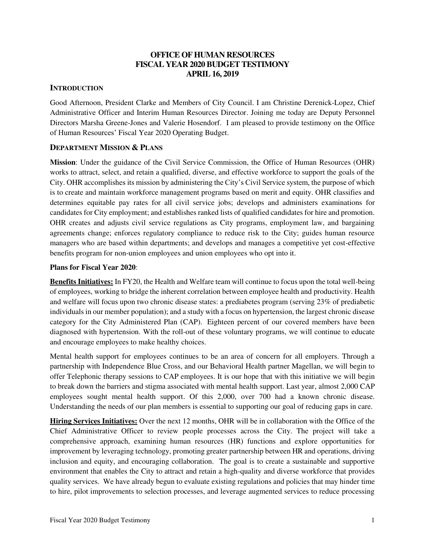### **OFFICE OF HUMAN RESOURCES FISCAL YEAR 2020 BUDGET TESTIMONY APRIL 16, 2019**

### **INTRODUCTION**

Good Afternoon, President Clarke and Members of City Council. I am Christine Derenick-Lopez, Chief Administrative Officer and Interim Human Resources Director. Joining me today are Deputy Personnel Directors Marsha Greene-Jones and Valerie Hosendorf. I am pleased to provide testimony on the Office of Human Resources' Fiscal Year 2020 Operating Budget.

#### **DEPARTMENT MISSION & PLANS**

**Mission**: Under the guidance of the Civil Service Commission, the Office of Human Resources (OHR) works to attract, select, and retain a qualified, diverse, and effective workforce to support the goals of the City. OHR accomplishes its mission by administering the City's Civil Service system, the purpose of which is to create and maintain workforce management programs based on merit and equity. OHR classifies and determines equitable pay rates for all civil service jobs; develops and administers examinations for candidates for City employment; and establishes ranked lists of qualified candidates for hire and promotion. OHR creates and adjusts civil service regulations as City programs, employment law, and bargaining agreements change; enforces regulatory compliance to reduce risk to the City; guides human resource managers who are based within departments; and develops and manages a competitive yet cost-effective benefits program for non-union employees and union employees who opt into it.

#### **Plans for Fiscal Year 2020**:

**Benefits Initiatives:** In FY20, the Health and Welfare team will continue to focus upon the total well-being of employees, working to bridge the inherent correlation between employee health and productivity. Health and welfare will focus upon two chronic disease states: a prediabetes program (serving 23% of prediabetic individuals in our member population); and a study with a focus on hypertension, the largest chronic disease category for the City Administered Plan (CAP). Eighteen percent of our covered members have been diagnosed with hypertension. With the roll-out of these voluntary programs, we will continue to educate and encourage employees to make healthy choices.

Mental health support for employees continues to be an area of concern for all employers. Through a partnership with Independence Blue Cross, and our Behavioral Health partner Magellan, we will begin to offer Telephonic therapy sessions to CAP employees. It is our hope that with this initiative we will begin to break down the barriers and stigma associated with mental health support. Last year, almost 2,000 CAP employees sought mental health support. Of this 2,000, over 700 had a known chronic disease. Understanding the needs of our plan members is essential to supporting our goal of reducing gaps in care.

**Hiring Services Initiatives:** Over the next 12 months, OHR will be in collaboration with the Office of the Chief Administrative Officer to review people processes across the City. The project will take a comprehensive approach, examining human resources (HR) functions and explore opportunities for improvement by leveraging technology, promoting greater partnership between HR and operations, driving inclusion and equity, and encouraging collaboration. The goal is to create a sustainable and supportive environment that enables the City to attract and retain a high-quality and diverse workforce that provides quality services. We have already begun to evaluate existing regulations and policies that may hinder time to hire, pilot improvements to selection processes, and leverage augmented services to reduce processing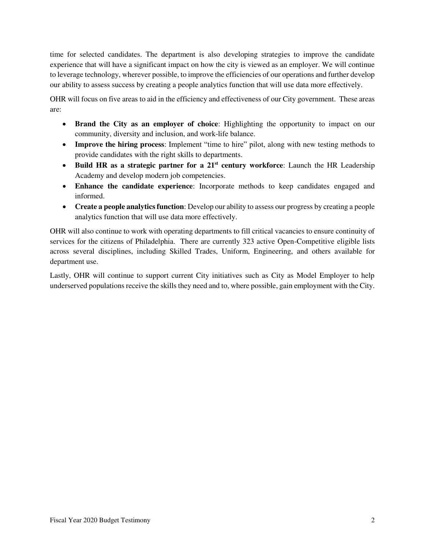time for selected candidates. The department is also developing strategies to improve the candidate experience that will have a significant impact on how the city is viewed as an employer. We will continue to leverage technology, wherever possible, to improve the efficiencies of our operations and further develop our ability to assess success by creating a people analytics function that will use data more effectively.

OHR will focus on five areas to aid in the efficiency and effectiveness of our City government. These areas are:

- **Brand the City as an employer of choice**: Highlighting the opportunity to impact on our community, diversity and inclusion, and work-life balance.
- **Improve the hiring process**: Implement "time to hire" pilot, along with new testing methods to provide candidates with the right skills to departments.
- **Build HR as a strategic partner for a 21st century workforce**: Launch the HR Leadership Academy and develop modern job competencies.
- **Enhance the candidate experience**: Incorporate methods to keep candidates engaged and informed.
- **Create a people analytics function**: Develop our ability to assess our progress by creating a people analytics function that will use data more effectively.

OHR will also continue to work with operating departments to fill critical vacancies to ensure continuity of services for the citizens of Philadelphia. There are currently 323 active Open-Competitive eligible lists across several disciplines, including Skilled Trades, Uniform, Engineering, and others available for department use.

Lastly, OHR will continue to support current City initiatives such as City as Model Employer to help underserved populations receive the skills they need and to, where possible, gain employment with the City.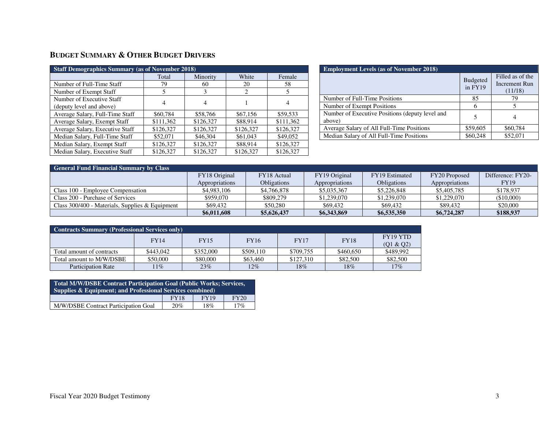# **BUDGET SUMMARY & OTHER BUDGET DRIVERS**

| <b>Staff Demographics Summary (as of November 2018)</b> |           |           |                             |           |  |  |  |  |  |
|---------------------------------------------------------|-----------|-----------|-----------------------------|-----------|--|--|--|--|--|
|                                                         | Total     | Minority  | White                       | Female    |  |  |  |  |  |
| Number of Full-Time Staff                               | 79        | 60        | 20                          | 58        |  |  |  |  |  |
| Number of Exempt Staff                                  |           | 3         | $\mathcal{D}_{\mathcal{L}}$ | 5         |  |  |  |  |  |
| Number of Executive Staff                               | 4         | 4         |                             | 4         |  |  |  |  |  |
| (deputy level and above)                                |           |           |                             |           |  |  |  |  |  |
| Average Salary, Full-Time Staff                         | \$60,784  | \$58,766  | \$67,156                    | \$59,533  |  |  |  |  |  |
| Average Salary, Exempt Staff                            | \$111,362 | \$126,327 | \$88.914                    | \$111,362 |  |  |  |  |  |
| Average Salary, Executive Staff                         | \$126.327 | \$126,327 | \$126,327                   | \$126,327 |  |  |  |  |  |
| Median Salary, Full-Time Staff                          | \$52,071  | \$46,304  | \$61,043                    | \$49,052  |  |  |  |  |  |
| Median Salary, Exempt Staff                             | \$126,327 | \$126,327 | \$88,914                    | \$126,327 |  |  |  |  |  |
| Median Salary, Executive Staff                          | \$126,327 | \$126,327 | \$126,327                   | \$126,327 |  |  |  |  |  |

| <b>Employment Levels (as of November 2018)</b>            |                            |                                              |  |  |  |  |  |
|-----------------------------------------------------------|----------------------------|----------------------------------------------|--|--|--|--|--|
|                                                           | <b>Budgeted</b><br>in FY19 | Filled as of the<br>Increment Run<br>(11/18) |  |  |  |  |  |
| Number of Full-Time Positions                             | 85                         | 79                                           |  |  |  |  |  |
| Number of Exempt Positions                                |                            |                                              |  |  |  |  |  |
| Number of Executive Positions (deputy level and<br>above) | 5                          |                                              |  |  |  |  |  |
| Average Salary of All Full-Time Positions                 | \$59,605                   | \$60,784                                     |  |  |  |  |  |
| Median Salary of All Full-Time Positions                  | \$60,248                   | \$52,071                                     |  |  |  |  |  |

| <b>General Fund Financial Summary by Class</b>    |                |             |                |                    |                |                   |  |  |  |  |
|---------------------------------------------------|----------------|-------------|----------------|--------------------|----------------|-------------------|--|--|--|--|
|                                                   | FY18 Original  | FY18 Actual | FY19 Original  | FY19 Estimated     | FY20 Proposed  | Difference: FY20- |  |  |  |  |
|                                                   | Appropriations | Obligations | Appropriations | <b>Obligations</b> | Appropriations | <b>FY19</b>       |  |  |  |  |
| Class 100 - Emplovee Compensation                 | \$4,983,106    | \$4,766,878 | \$5,035,367    | \$5,226,848        | \$5,405,785    | \$178,937         |  |  |  |  |
| Class 200 - Purchase of Services                  | \$959,070      | \$809,279   | \$1,239,070    | \$1,239,070        | \$1,229,070    | (\$10,000)        |  |  |  |  |
| Class $300/400$ - Materials, Supplies & Equipment | \$69,432       | \$50,280    | \$69,432       | \$69,432           | \$89,432       | \$20,000          |  |  |  |  |
|                                                   | \$6,011,608    | \$5,626,437 | \$6,343,869    | \$6,535,350        | \$6,724,287    | \$188,937         |  |  |  |  |

| Contracts Summary (Professional Services only) |             |             |             |             |             |                                               |  |  |  |
|------------------------------------------------|-------------|-------------|-------------|-------------|-------------|-----------------------------------------------|--|--|--|
|                                                | <b>FY14</b> | <b>FY15</b> | <b>FY16</b> | <b>FY17</b> | <b>FY18</b> | FY <sub>19</sub> Y <sub>TD</sub><br>(Q1 & Q2) |  |  |  |
| Total amount of contracts                      | \$443,042   | \$352,000   | \$509,110   | \$709.755   | \$460,650   | \$489,992                                     |  |  |  |
| Total amount to M/W/DSBE                       | \$50,000    | \$80,000    | \$63,460    | \$127,310   | \$82,500    | \$82,500                                      |  |  |  |
| <b>Participation Rate</b>                      | 11%         | 23%         | $12\%$      | 18%         | 18%         | 17%                                           |  |  |  |

| Total M/W/DSBE Contract Participation Goal (Public Works; Services, |     |     |     |  |  |  |  |  |
|---------------------------------------------------------------------|-----|-----|-----|--|--|--|--|--|
| Supplies & Equipment; and Professional Services combined)           |     |     |     |  |  |  |  |  |
| <b>FY19</b><br>FY20<br><b>FY18</b>                                  |     |     |     |  |  |  |  |  |
| M/W/DSBE Contract Participation Goal                                | 20% | 18% | 17% |  |  |  |  |  |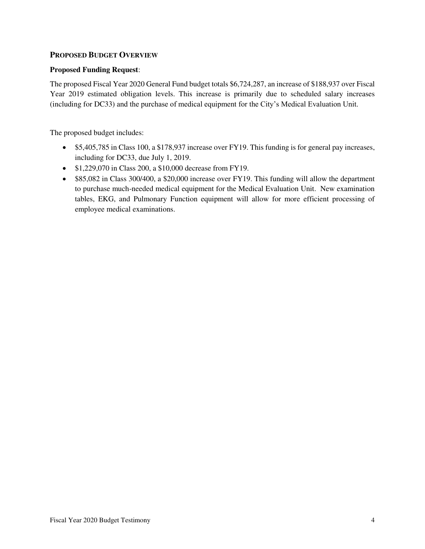### **PROPOSED BUDGET OVERVIEW**

#### **Proposed Funding Request**:

The proposed Fiscal Year 2020 General Fund budget totals \$6,724,287, an increase of \$188,937 over Fiscal Year 2019 estimated obligation levels. This increase is primarily due to scheduled salary increases (including for DC33) and the purchase of medical equipment for the City's Medical Evaluation Unit.

The proposed budget includes:

- \$5,405,785 in Class 100, a \$178,937 increase over FY19. This funding is for general pay increases, including for DC33, due July 1, 2019.
- \$1,229,070 in Class 200, a \$10,000 decrease from FY19.
- \$85,082 in Class 300/400, a \$20,000 increase over FY19. This funding will allow the department to purchase much-needed medical equipment for the Medical Evaluation Unit. New examination tables, EKG, and Pulmonary Function equipment will allow for more efficient processing of employee medical examinations.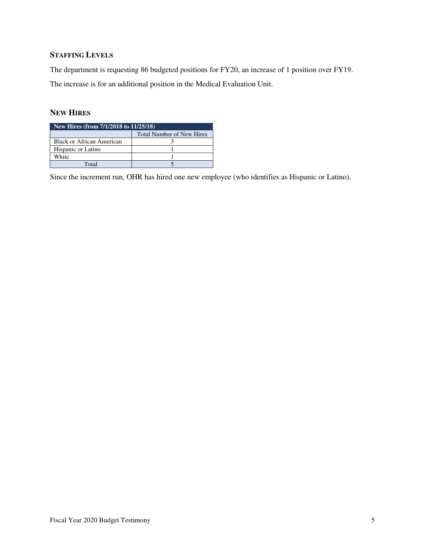## **STAFFING LEVELS**

The department is requesting 86 budgeted positions for FY20, an increase of 1 position over FY19. The increase is for an additional position in the Medical Evaluation Unit.

### **NEW HIRES**

| New Hires (from $7/1/2018$ to $11/25/18$ ) |                                  |  |  |  |  |  |
|--------------------------------------------|----------------------------------|--|--|--|--|--|
|                                            | <b>Total Number of New Hires</b> |  |  |  |  |  |
| Black or African American                  |                                  |  |  |  |  |  |
| Hispanic or Latino                         |                                  |  |  |  |  |  |
| White                                      |                                  |  |  |  |  |  |
| Total                                      |                                  |  |  |  |  |  |

Since the increment run, OHR has hired one new employee (who identifies as Hispanic or Latino).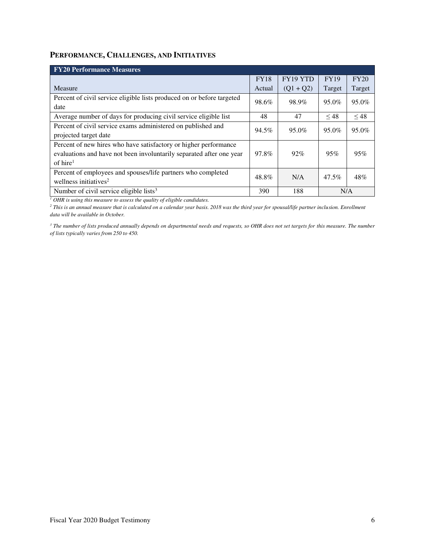### **PERFORMANCE, CHALLENGES, AND INITIATIVES**

| <b>FY20 Performance Measures</b>                                       |             |             |             |           |
|------------------------------------------------------------------------|-------------|-------------|-------------|-----------|
|                                                                        | <b>FY18</b> | FY19 YTD    | <b>FY19</b> | FY20      |
| Measure                                                                | Actual      | $(Q1 + Q2)$ | Target      | Target    |
| Percent of civil service eligible lists produced on or before targeted | 98.6%       | 98.9%       | 95.0%       | 95.0%     |
| date                                                                   |             |             |             |           |
| Average number of days for producing civil service eligible list       | 48          | 47          | $\leq 48$   | $\leq 48$ |
| Percent of civil service exams administered on published and           | 94.5%       | 95.0%       | 95.0%       | 95.0%     |
| projected target date                                                  |             |             |             |           |
| Percent of new hires who have satisfactory or higher performance       |             |             |             |           |
| evaluations and have not been involuntarily separated after one year   | 97.8%       | $92\%$      | 95%         | 95%       |
| of hire <sup>1</sup>                                                   |             |             |             |           |
| Percent of employees and spouses/life partners who completed           | 48.8%       | N/A         | $47.5\%$    | 48%       |
| wellness initiatives <sup>2</sup>                                      |             |             |             |           |
| Number of civil service eligible lists <sup>3</sup>                    | 390         | 188         | N/A         |           |

<sup>1</sup> OHR is using this measure to assess the quality of eligible candidates.

<sup>2</sup> This is an annual measure that is calculated on a calendar year basis. 2018 was the third year for spousal/life partner inclusion. Enrollment *data will be available in October.* 

<sup>3</sup> The number of lists produced annually depends on departmental needs and requests, so OHR does not set targets for this measure. The number *of lists typically varies from 250 to 450.*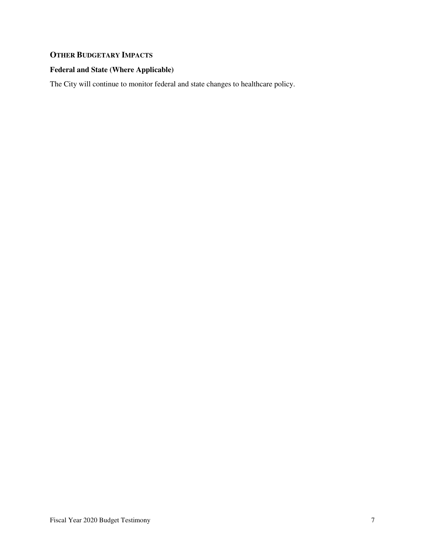# **OTHER BUDGETARY IMPACTS**

### **Federal and State (Where Applicable)**

The City will continue to monitor federal and state changes to healthcare policy.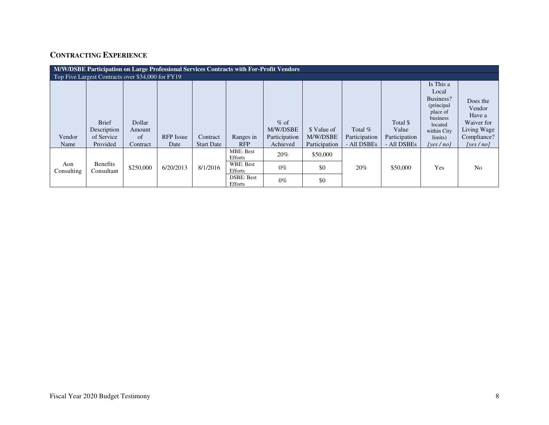# **CONTRACTING EXPERIENCE**

| M/W/DSBE Participation on Large Professional Services Contracts with For-Profit Vendors |                                                       |                                            |                          |                               |                                                                                      |                                                 |                                          |                                           |                                                   |                                                                                                                        |                                                                                          |
|-----------------------------------------------------------------------------------------|-------------------------------------------------------|--------------------------------------------|--------------------------|-------------------------------|--------------------------------------------------------------------------------------|-------------------------------------------------|------------------------------------------|-------------------------------------------|---------------------------------------------------|------------------------------------------------------------------------------------------------------------------------|------------------------------------------------------------------------------------------|
| Top Five Largest Contracts over \$34,000 for FY19                                       |                                                       |                                            |                          |                               |                                                                                      |                                                 |                                          |                                           |                                                   |                                                                                                                        |                                                                                          |
| Vendor<br>Name                                                                          | <b>Brief</b><br>Description<br>of Service<br>Provided | Dollar<br>Amount<br>$\sigma$ f<br>Contract | <b>RFP</b> Issue<br>Date | Contract<br><b>Start Date</b> | Ranges in<br><b>RFP</b>                                                              | $%$ of<br>M/W/DSBE<br>Participation<br>Achieved | \$ Value of<br>M/W/DSBE<br>Participation | Total $%$<br>Participation<br>- All DSBEs | Total \$<br>Value<br>Participation<br>- All DSBEs | Is This a<br>Local<br>Business?<br>(principal<br>place of<br>business<br>located<br>within City<br>limits)<br>[ves/no] | Does the<br>Vendor<br>Have a<br>Waiver for<br>Living Wage<br>Compliance?<br>[yes $/no$ ] |
| Aon<br>Consulting                                                                       | <b>Benefits</b><br>Consultant                         | \$250,000                                  | 6/20/2013                | 8/1/2016                      | <b>MBE</b> : Best<br>Efforts<br>WBE: Best<br>Efforts<br><b>DSBE: Best</b><br>Efforts | $20\%$<br>$0\%$<br>$0\%$                        | \$50,000<br>\$0<br>\$0                   | 20%                                       | \$50,000                                          | Yes                                                                                                                    | N <sub>0</sub>                                                                           |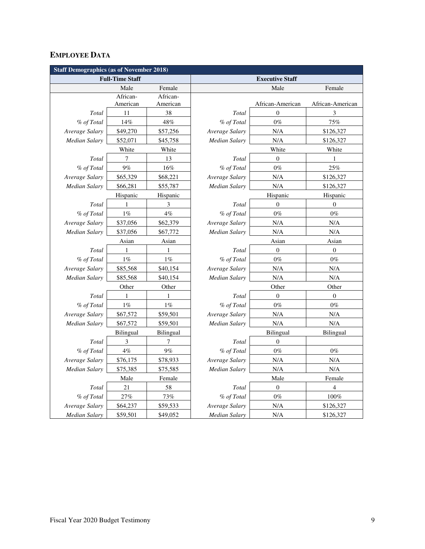## **EMPLOYEE DATA**

| <b>Staff Demographics (as of November 2018)</b> |                        |                                         |                      |                        |                  |  |  |  |  |
|-------------------------------------------------|------------------------|-----------------------------------------|----------------------|------------------------|------------------|--|--|--|--|
|                                                 | <b>Full-Time Staff</b> |                                         |                      | <b>Executive Staff</b> |                  |  |  |  |  |
|                                                 | Male                   | Female                                  |                      | Male                   | Female           |  |  |  |  |
|                                                 | African-               | African-                                |                      |                        |                  |  |  |  |  |
|                                                 | American               | American                                |                      | African-American       | African-American |  |  |  |  |
| Total                                           | 11                     | 38                                      | Total                | $\boldsymbol{0}$       | $\mathfrak 3$    |  |  |  |  |
| % of Total                                      | 14%                    | 48%                                     | % of Total           | $0\%$                  | 75%              |  |  |  |  |
| Average Salary                                  | \$49,270               | \$57,256                                | Average Salary       | N/A                    | \$126,327        |  |  |  |  |
| Median Salary                                   | \$52,071               | \$45,758                                | <b>Median Salary</b> | N/A                    | \$126,327        |  |  |  |  |
|                                                 | White                  | White                                   |                      | White                  | White            |  |  |  |  |
| Total                                           | 7                      | 13                                      | Total                | $\overline{0}$         | $\mathbf{1}$     |  |  |  |  |
| % of Total                                      | 9%                     | 16%                                     | % of Total           | $0\%$                  | $25\%$           |  |  |  |  |
| Average Salary                                  | \$65,329               | \$68,221                                | Average Salary       | N/A                    | \$126,327        |  |  |  |  |
| Median Salary                                   | \$66,281               | \$55,787                                | <b>Median Salary</b> | N/A                    | \$126,327        |  |  |  |  |
|                                                 | Hispanic               | Hispanic                                |                      | Hispanic               | Hispanic         |  |  |  |  |
| Total                                           | 1                      | 3                                       | Total                | $\boldsymbol{0}$       | $\boldsymbol{0}$ |  |  |  |  |
| % of Total                                      | $1\%$                  | $4\%$                                   | % of Total           | $0\%$                  | $0\%$            |  |  |  |  |
| Average Salary                                  | \$37,056               | \$62,379                                | Average Salary       | N/A                    | N/A              |  |  |  |  |
| <b>Median Salary</b>                            | \$37,056               | \$67,772<br><b>Median Salary</b><br>N/A |                      |                        | N/A              |  |  |  |  |
|                                                 | Asian                  | Asian                                   | Asian                |                        | Asian            |  |  |  |  |
| Total                                           | 1                      | 1                                       | Total                | $\boldsymbol{0}$       | $\boldsymbol{0}$ |  |  |  |  |
| % of Total                                      | $1\%$                  | $1\%$                                   | % of Total           | $0\%$                  | $0\%$            |  |  |  |  |
| Average Salary                                  | \$85,568               | \$40,154                                | Average Salary       | N/A                    | N/A              |  |  |  |  |
| Median Salary                                   | \$85,568               | \$40,154                                | Median Salary        | N/A                    | N/A              |  |  |  |  |
|                                                 | Other                  | Other                                   |                      | Other                  | Other            |  |  |  |  |
| Total                                           | $\mathbf{1}$           | 1                                       | Total                | $\theta$               | $\overline{0}$   |  |  |  |  |
| % of Total                                      | $1\%$                  | $1\%$                                   | % of Total           | $0\%$                  | $0\%$            |  |  |  |  |
| Average Salary                                  | \$67,572               | \$59,501                                | Average Salary       | N/A                    | N/A              |  |  |  |  |
| Median Salary                                   | \$67,572               | \$59,501                                | <b>Median Salary</b> | N/A                    | N/A              |  |  |  |  |
|                                                 | Bilingual              | Bilingual                               |                      | <b>Bilingual</b>       | Bilingual        |  |  |  |  |
| Total                                           | 3                      | 7                                       | Total                | $\boldsymbol{0}$       |                  |  |  |  |  |
| % of Total                                      | $4\%$                  | $9\%$                                   | % of Total           | $0\%$                  | $0\%$            |  |  |  |  |
| Average Salary                                  | \$76,175               | \$78,933                                | Average Salary       | N/A                    | N/A              |  |  |  |  |
| <b>Median Salary</b>                            | \$75,385               | \$75,585                                | <b>Median Salary</b> | N/A                    | N/A              |  |  |  |  |
|                                                 | Male                   | Female                                  | Male                 |                        | Female           |  |  |  |  |
| Total                                           | $21\,$                 | 58                                      | Total                | $\boldsymbol{0}$       | 4                |  |  |  |  |
| % of Total                                      | $27\%$                 | 73%                                     | % of Total           | $0\%$                  | $100\%$          |  |  |  |  |
| Average Salary                                  | \$64,237               | \$59,533                                | Average Salary       | N/A                    | \$126,327        |  |  |  |  |
| <b>Median Salary</b>                            | \$59,501               | \$49,052                                | <b>Median Salary</b> | N/A                    | \$126,327        |  |  |  |  |